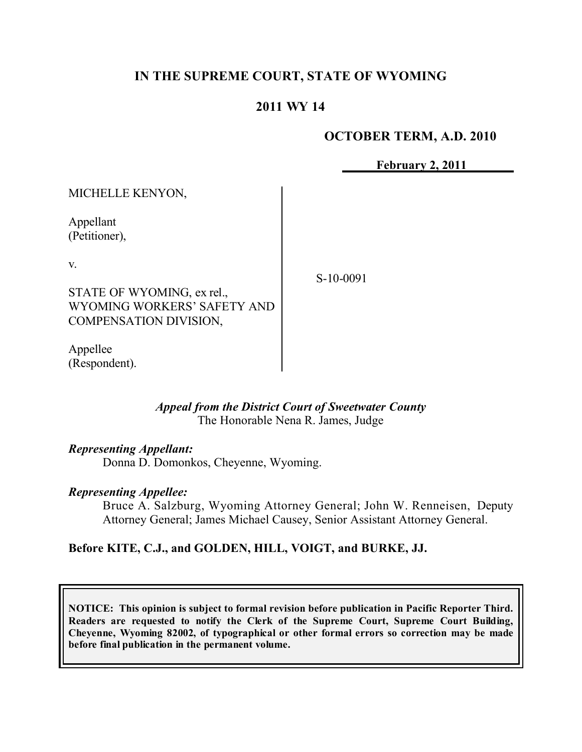# **IN THE SUPREME COURT, STATE OF WYOMING**

# **2011 WY 14**

### **OCTOBER TERM, A.D. 2010**

**February 2, 2011**

MICHELLE KENYON,

Appellant (Petitioner),

v.

STATE OF WYOMING, ex rel., WYOMING WORKERS' SAFETY AND COMPENSATION DIVISION,

Appellee (Respondent). S-10-0091

*Appeal from the District Court of Sweetwater County* The Honorable Nena R. James, Judge

#### *Representing Appellant:*

Donna D. Domonkos, Cheyenne, Wyoming.

#### *Representing Appellee:*

Bruce A. Salzburg, Wyoming Attorney General; John W. Renneisen, Deputy Attorney General; James Michael Causey, Senior Assistant Attorney General.

## **Before KITE, C.J., and GOLDEN, HILL, VOIGT, and BURKE, JJ.**

**NOTICE: This opinion is subject to formal revision before publication in Pacific Reporter Third. Readers are requested to notify the Clerk of the Supreme Court, Supreme Court Building, Cheyenne, Wyoming 82002, of typographical or other formal errors so correction may be made before final publication in the permanent volume.**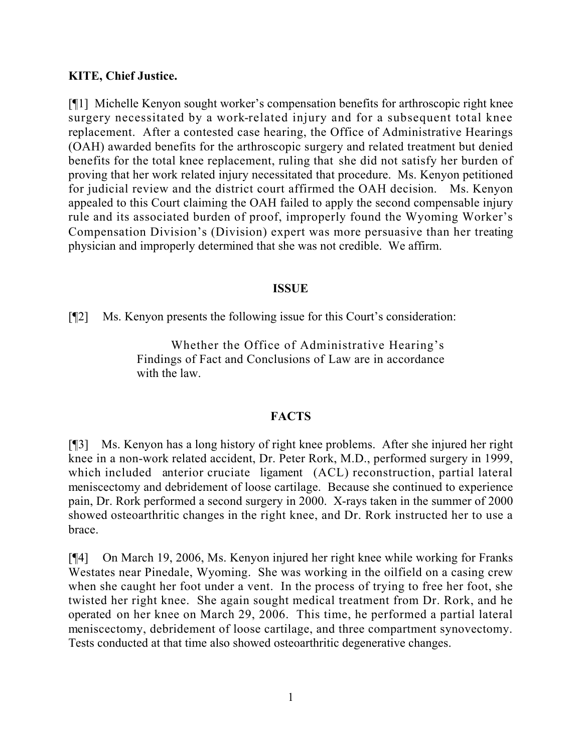## **KITE, Chief Justice.**

[¶1] Michelle Kenyon sought worker's compensation benefits for arthroscopic right knee surgery necessitated by a work-related injury and for a subsequent total knee replacement. After a contested case hearing, the Office of Administrative Hearings (OAH) awarded benefits for the arthroscopic surgery and related treatment but denied benefits for the total knee replacement, ruling that she did not satisfy her burden of proving that her work related injury necessitated that procedure. Ms. Kenyon petitioned for judicial review and the district court affirmed the OAH decision. Ms. Kenyon appealed to this Court claiming the OAH failed to apply the second compensable injury rule and its associated burden of proof, improperly found the Wyoming Worker's Compensation Division's (Division) expert was more persuasive than her treating physician and improperly determined that she was not credible. We affirm.

### **ISSUE**

[¶2] Ms. Kenyon presents the following issue for this Court's consideration:

Whether the Office of Administrative Hearing's Findings of Fact and Conclusions of Law are in accordance with the law.

## **FACTS**

[¶3] Ms. Kenyon has a long history of right knee problems. After she injured her right knee in a non-work related accident, Dr. Peter Rork, M.D., performed surgery in 1999, which included anterior cruciate ligament (ACL) reconstruction, partial lateral meniscectomy and debridement of loose cartilage. Because she continued to experience pain, Dr. Rork performed a second surgery in 2000. X-rays taken in the summer of 2000 showed osteoarthritic changes in the right knee, and Dr. Rork instructed her to use a brace.

[¶4] On March 19, 2006, Ms. Kenyon injured her right knee while working for Franks Westates near Pinedale, Wyoming. She was working in the oilfield on a casing crew when she caught her foot under a vent. In the process of trying to free her foot, she twisted her right knee. She again sought medical treatment from Dr. Rork, and he operated on her knee on March 29, 2006. This time, he performed a partial lateral meniscectomy, debridement of loose cartilage, and three compartment synovectomy. Tests conducted at that time also showed osteoarthritic degenerative changes.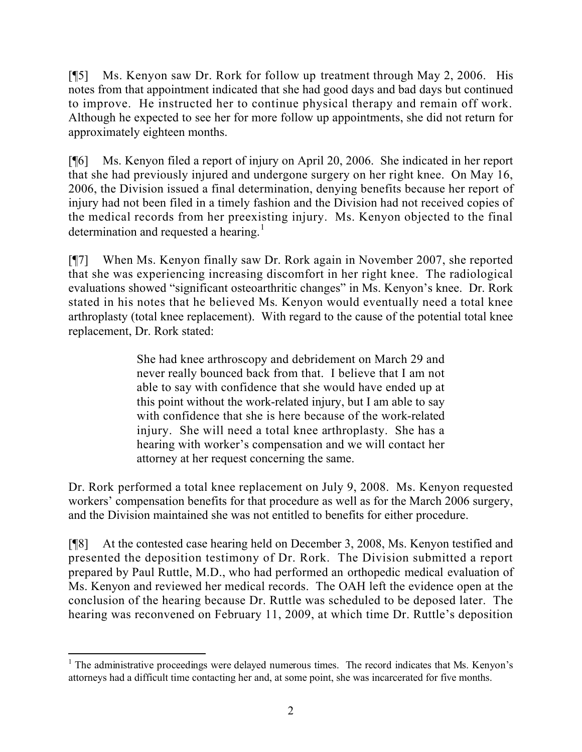[¶5] Ms. Kenyon saw Dr. Rork for follow up treatment through May 2, 2006. His notes from that appointment indicated that she had good days and bad days but continued to improve. He instructed her to continue physical therapy and remain off work. Although he expected to see her for more follow up appointments, she did not return for approximately eighteen months.

[¶6] Ms. Kenyon filed a report of injury on April 20, 2006. She indicated in her report that she had previously injured and undergone surgery on her right knee. On May 16, 2006, the Division issued a final determination, denying benefits because her report of injury had not been filed in a timely fashion and the Division had not received copies of the medical records from her preexisting injury. Ms. Kenyon objected to the final determination and requested a hearing.<sup>1</sup>

[¶7] When Ms. Kenyon finally saw Dr. Rork again in November 2007, she reported that she was experiencing increasing discomfort in her right knee. The radiological evaluations showed "significant osteoarthritic changes" in Ms. Kenyon's knee. Dr. Rork stated in his notes that he believed Ms. Kenyon would eventually need a total knee arthroplasty (total knee replacement). With regard to the cause of the potential total knee replacement, Dr. Rork stated:

> She had knee arthroscopy and debridement on March 29 and never really bounced back from that. I believe that I am not able to say with confidence that she would have ended up at this point without the work-related injury, but I am able to say with confidence that she is here because of the work-related injury. She will need a total knee arthroplasty. She has a hearing with worker's compensation and we will contact her attorney at her request concerning the same.

Dr. Rork performed a total knee replacement on July 9, 2008. Ms. Kenyon requested workers' compensation benefits for that procedure as well as for the March 2006 surgery, and the Division maintained she was not entitled to benefits for either procedure.

[¶8] At the contested case hearing held on December 3, 2008, Ms. Kenyon testified and presented the deposition testimony of Dr. Rork. The Division submitted a report prepared by Paul Ruttle, M.D., who had performed an orthopedic medical evaluation of Ms. Kenyon and reviewed her medical records. The OAH left the evidence open at the conclusion of the hearing because Dr. Ruttle was scheduled to be deposed later. The hearing was reconvened on February 11, 2009, at which time Dr. Ruttle's deposition

 $\overline{a}$ <sup>1</sup> The administrative proceedings were delayed numerous times. The record indicates that Ms. Kenyon's attorneys had a difficult time contacting her and, at some point, she was incarcerated for five months.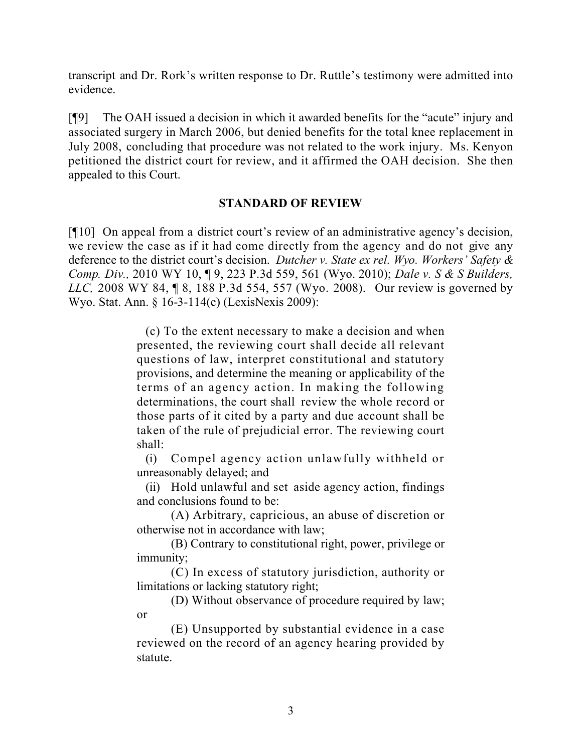transcript and Dr. Rork's written response to Dr. Ruttle's testimony were admitted into evidence.

[¶9] The OAH issued a decision in which it awarded benefits for the "acute" injury and associated surgery in March 2006, but denied benefits for the total knee replacement in July 2008, concluding that procedure was not related to the work injury. Ms. Kenyon petitioned the district court for review, and it affirmed the OAH decision. She then appealed to this Court.

## **STANDARD OF REVIEW**

[¶10] On appeal from a district court's review of an administrative agency's decision, we review the case as if it had come directly from the agency and do not give any deference to the district court's decision. *Dutcher v. State ex rel. Wyo. Workers' Safety & Comp. Div.,* 2010 WY 10, ¶ 9, 223 P.3d 559, 561 (Wyo. 2010); *Dale v. S & S Builders, LLC,* 2008 WY 84, ¶ 8, 188 P.3d 554, 557 (Wyo. 2008). Our review is governed by Wyo. Stat. Ann. § 16-3-114(c) (LexisNexis 2009):

> (c) To the extent necessary to make a decision and when presented, the reviewing court shall decide all relevant questions of law, interpret constitutional and statutory provisions, and determine the meaning or applicability of the terms of an agency action. In making the following determinations, the court shall review the whole record or those parts of it cited by a party and due account shall be taken of the rule of prejudicial error. The reviewing court shall:

> (i) Compel agency action unlawfully withheld or unreasonably delayed; and

> (ii) Hold unlawful and set aside agency action, findings and conclusions found to be:

> (A) Arbitrary, capricious, an abuse of discretion or otherwise not in accordance with law;

> (B) Contrary to constitutional right, power, privilege or immunity;

> (C) In excess of statutory jurisdiction, authority or limitations or lacking statutory right;

> (D) Without observance of procedure required by law; or

> (E) Unsupported by substantial evidence in a case reviewed on the record of an agency hearing provided by statute.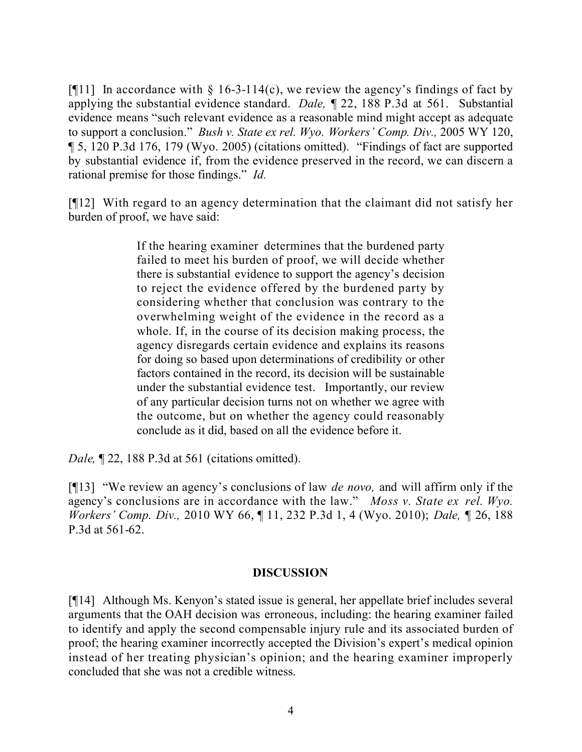[ $[$ [11] In accordance with  $\S$  16-3-114(c), we review the agency's findings of fact by applying the substantial evidence standard. *Dale,* ¶ 22, 188 P.3d at 561. Substantial evidence means "such relevant evidence as a reasonable mind might accept as adequate to support a conclusion." *Bush v. State ex rel. Wyo. Workers' Comp. Div.,* 2005 WY 120, ¶ 5, 120 P.3d 176, 179 (Wyo. 2005) (citations omitted). "Findings of fact are supported by substantial evidence if, from the evidence preserved in the record, we can discern a rational premise for those findings." *Id.*

[¶12] With regard to an agency determination that the claimant did not satisfy her burden of proof, we have said:

> If the hearing examiner determines that the burdened party failed to meet his burden of proof, we will decide whether there is substantial evidence to support the agency's decision to reject the evidence offered by the burdened party by considering whether that conclusion was contrary to the overwhelming weight of the evidence in the record as a whole. If, in the course of its decision making process, the agency disregards certain evidence and explains its reasons for doing so based upon determinations of credibility or other factors contained in the record, its decision will be sustainable under the substantial evidence test. Importantly, our review of any particular decision turns not on whether we agree with the outcome, but on whether the agency could reasonably conclude as it did, based on all the evidence before it.

*Dale*, **[22, 188 P.3d at 561 (citations omitted).** 

[¶13] "We review an agency's conclusions of law *de novo,* and will affirm only if the agency's conclusions are in accordance with the law." *Moss v. State ex rel. Wyo. Workers' Comp. Div.,* 2010 WY 66, ¶ 11, 232 P.3d 1, 4 (Wyo. 2010); *Dale,* ¶ 26, 188 P.3d at 561-62.

## **DISCUSSION**

[¶14] Although Ms. Kenyon's stated issue is general, her appellate brief includes several arguments that the OAH decision was erroneous, including: the hearing examiner failed to identify and apply the second compensable injury rule and its associated burden of proof; the hearing examiner incorrectly accepted the Division's expert's medical opinion instead of her treating physician's opinion; and the hearing examiner improperly concluded that she was not a credible witness.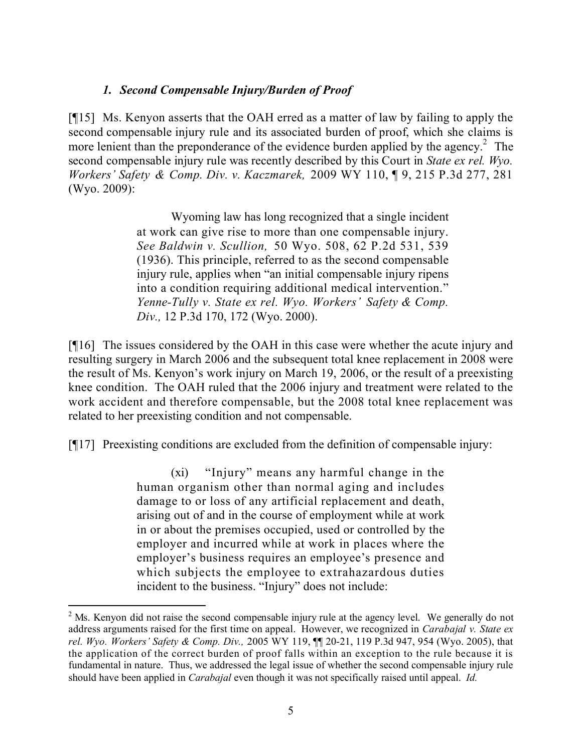# *1. Second Compensable Injury/Burden of Proof*

[¶15] Ms. Kenyon asserts that the OAH erred as a matter of law by failing to apply the second compensable injury rule and its associated burden of proof, which she claims is more lenient than the preponderance of the evidence burden applied by the agency.<sup>2</sup> The second compensable injury rule was recently described by this Court in *State ex rel. Wyo. Workers' Safety & Comp. Div. v. Kaczmarek,* 2009 WY 110, ¶ 9, 215 P.3d 277, 281 (Wyo. 2009):

> Wyoming law has long recognized that a single incident at work can give rise to more than one compensable injury. *See Baldwin v. Scullion,* 50 Wyo. 508, 62 P.2d 531, 539 (1936). This principle, referred to as the second compensable injury rule, applies when "an initial compensable injury ripens into a condition requiring additional medical intervention." *Yenne-Tully v. State ex rel. Wyo. Workers' Safety & Comp. Div.,* 12 P.3d 170, 172 (Wyo. 2000).

[¶16] The issues considered by the OAH in this case were whether the acute injury and resulting surgery in March 2006 and the subsequent total knee replacement in 2008 were the result of Ms. Kenyon's work injury on March 19, 2006, or the result of a preexisting knee condition. The OAH ruled that the 2006 injury and treatment were related to the work accident and therefore compensable, but the 2008 total knee replacement was related to her preexisting condition and not compensable.

[¶17] Preexisting conditions are excluded from the definition of compensable injury:

(xi) "Injury" means any harmful change in the human organism other than normal aging and includes damage to or loss of any artificial replacement and death, arising out of and in the course of employment while at work in or about the premises occupied, used or controlled by the employer and incurred while at work in places where the employer's business requires an employee's presence and which subjects the employee to extrahazardous duties incident to the business. "Injury" does not include:

 $2^2$  Ms. Kenyon did not raise the second compensable injury rule at the agency level. We generally do not address arguments raised for the first time on appeal. However, we recognized in *Carabajal v. State ex rel. Wyo. Workers' Safety & Comp. Div.,* 2005 WY 119, ¶¶ 20-21, 119 P.3d 947, 954 (Wyo. 2005), that the application of the correct burden of proof falls within an exception to the rule because it is fundamental in nature. Thus, we addressed the legal issue of whether the second compensable injury rule should have been applied in *Carabajal* even though it was not specifically raised until appeal. *Id.*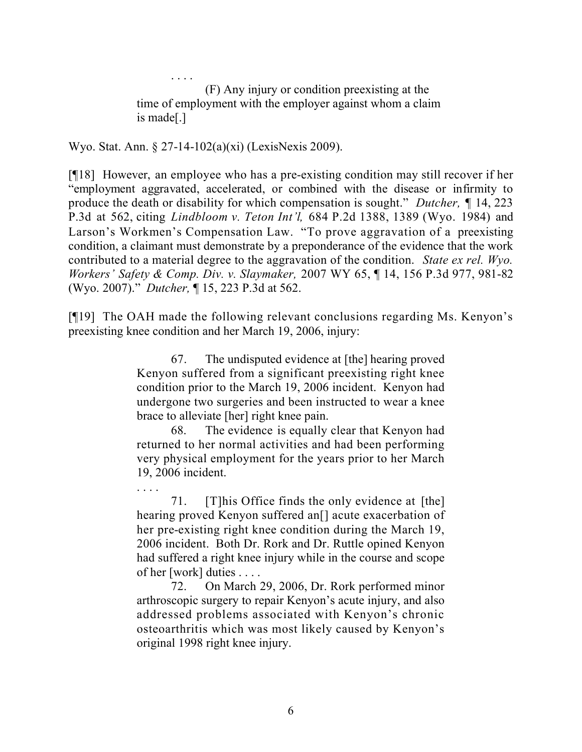. . . . (F) Any injury or condition preexisting at the time of employment with the employer against whom a claim is made[.]

Wyo. Stat. Ann. § 27-14-102(a)(xi) (LexisNexis 2009).

. . . .

[¶18] However, an employee who has a pre-existing condition may still recover if her "employment aggravated, accelerated, or combined with the disease or infirmity to produce the death or disability for which compensation is sought." *Dutcher, ¶* 14, 223 P.3d at 562, citing *Lindbloom v. Teton Int'l,* 684 P.2d 1388, 1389 (Wyo. 1984) and Larson's Workmen's Compensation Law. "To prove aggravation of a preexisting condition, a claimant must demonstrate by a preponderance of the evidence that the work contributed to a material degree to the aggravation of the condition. *State ex rel. Wyo. Workers' Safety & Comp. Div. v. Slaymaker,* 2007 WY 65, ¶ 14, 156 P.3d 977, 981-82 (Wyo. 2007)." *Dutcher,* ¶ 15, 223 P.3d at 562.

[¶19] The OAH made the following relevant conclusions regarding Ms. Kenyon's preexisting knee condition and her March 19, 2006, injury:

> 67. The undisputed evidence at [the] hearing proved Kenyon suffered from a significant preexisting right knee condition prior to the March 19, 2006 incident. Kenyon had undergone two surgeries and been instructed to wear a knee brace to alleviate [her] right knee pain.

> 68. The evidence is equally clear that Kenyon had returned to her normal activities and had been performing very physical employment for the years prior to her March 19, 2006 incident.

> 71. [T]his Office finds the only evidence at [the] hearing proved Kenyon suffered an<sup>[]</sup> acute exacerbation of her pre-existing right knee condition during the March 19, 2006 incident. Both Dr. Rork and Dr. Ruttle opined Kenyon had suffered a right knee injury while in the course and scope of her [work] duties . . . .

> 72. On March 29, 2006, Dr. Rork performed minor arthroscopic surgery to repair Kenyon's acute injury, and also addressed problems associated with Kenyon's chronic osteoarthritis which was most likely caused by Kenyon's original 1998 right knee injury.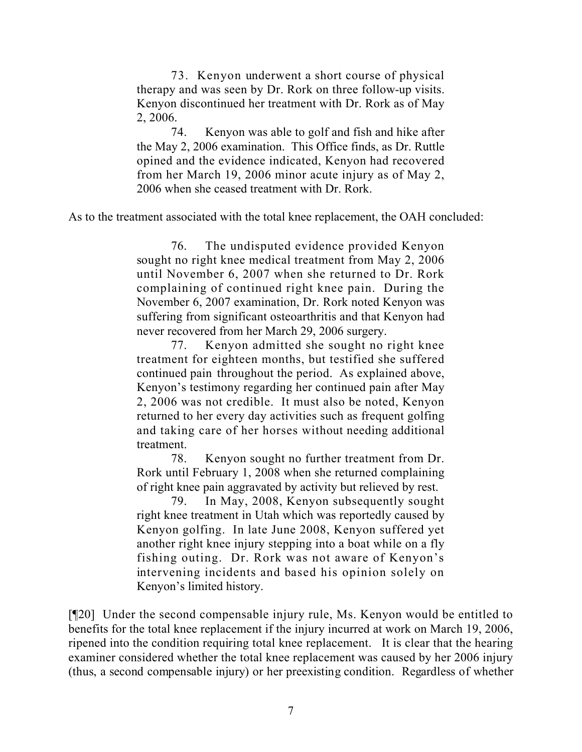73. Kenyon underwent a short course of physical therapy and was seen by Dr. Rork on three follow-up visits. Kenyon discontinued her treatment with Dr. Rork as of May 2, 2006.

74. Kenyon was able to golf and fish and hike after the May 2, 2006 examination. This Office finds, as Dr. Ruttle opined and the evidence indicated, Kenyon had recovered from her March 19, 2006 minor acute injury as of May 2, 2006 when she ceased treatment with Dr. Rork.

As to the treatment associated with the total knee replacement, the OAH concluded:

76. The undisputed evidence provided Kenyon sought no right knee medical treatment from May 2, 2006 until November 6, 2007 when she returned to Dr. Rork complaining of continued right knee pain. During the November 6, 2007 examination, Dr. Rork noted Kenyon was suffering from significant osteoarthritis and that Kenyon had never recovered from her March 29, 2006 surgery.

77. Kenyon admitted she sought no right knee treatment for eighteen months, but testified she suffered continued pain throughout the period. As explained above, Kenyon's testimony regarding her continued pain after May 2, 2006 was not credible. It must also be noted, Kenyon returned to her every day activities such as frequent golfing and taking care of her horses without needing additional treatment.

78. Kenyon sought no further treatment from Dr. Rork until February 1, 2008 when she returned complaining of right knee pain aggravated by activity but relieved by rest.

79. In May, 2008, Kenyon subsequently sought right knee treatment in Utah which was reportedly caused by Kenyon golfing. In late June 2008, Kenyon suffered yet another right knee injury stepping into a boat while on a fly fishing outing. Dr. Rork was not aware of Kenyon's intervening incidents and based his opinion solely on Kenyon's limited history.

[¶20] Under the second compensable injury rule, Ms. Kenyon would be entitled to benefits for the total knee replacement if the injury incurred at work on March 19, 2006, ripened into the condition requiring total knee replacement. It is clear that the hearing examiner considered whether the total knee replacement was caused by her 2006 injury (thus, a second compensable injury) or her preexisting condition. Regardless of whether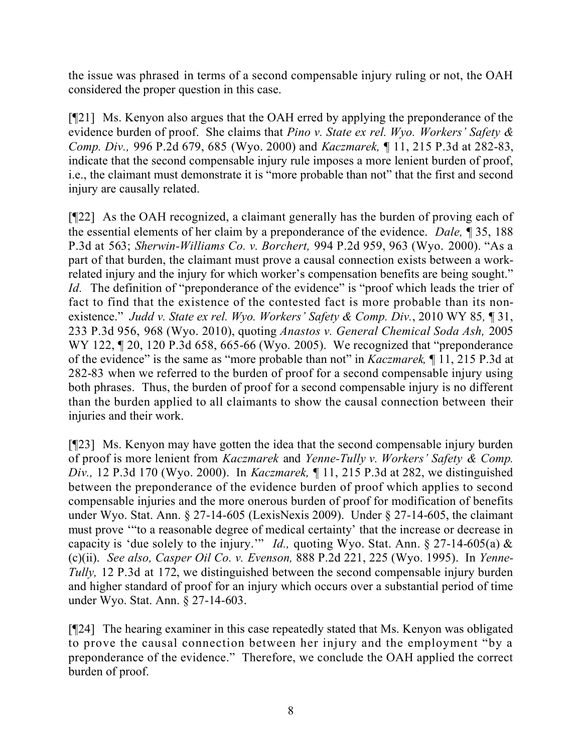the issue was phrased in terms of a second compensable injury ruling or not, the OAH considered the proper question in this case.

[¶21] Ms. Kenyon also argues that the OAH erred by applying the preponderance of the evidence burden of proof. She claims that *Pino v. State ex rel. Wyo. Workers' Safety & Comp. Div.,* 996 P.2d 679, 685 (Wyo. 2000) and *Kaczmarek,* ¶ 11, 215 P.3d at 282-83, indicate that the second compensable injury rule imposes a more lenient burden of proof, i.e., the claimant must demonstrate it is "more probable than not" that the first and second injury are causally related.

[¶22] As the OAH recognized, a claimant generally has the burden of proving each of the essential elements of her claim by a preponderance of the evidence. *Dale,* ¶ 35, 188 P.3d at 563; *Sherwin-Williams Co. v. Borchert,* 994 P.2d 959, 963 (Wyo. 2000). "As a part of that burden, the claimant must prove a causal connection exists between a workrelated injury and the injury for which worker's compensation benefits are being sought." *Id.* The definition of "preponderance of the evidence" is "proof which leads the trier of fact to find that the existence of the contested fact is more probable than its nonexistence." *Judd v. State ex rel. Wyo. Workers' Safety & Comp. Div.*, 2010 WY 85*,* ¶ 31, 233 P.3d 956, 968 (Wyo. 2010), quoting *Anastos v. General Chemical Soda Ash,* 2005 WY 122, 120, 120 P.3d 658, 665-66 (Wyo. 2005). We recognized that "preponderance" of the evidence" is the same as "more probable than not" in *Kaczmarek,* ¶ 11, 215 P.3d at 282-83 when we referred to the burden of proof for a second compensable injury using both phrases. Thus, the burden of proof for a second compensable injury is no different than the burden applied to all claimants to show the causal connection between their injuries and their work.

[¶23] Ms. Kenyon may have gotten the idea that the second compensable injury burden of proof is more lenient from *Kaczmarek* and *Yenne-Tully v. Workers' Safety & Comp. Div.,* 12 P.3d 170 (Wyo. 2000). In *Kaczmarek,* ¶ 11, 215 P.3d at 282, we distinguished between the preponderance of the evidence burden of proof which applies to second compensable injuries and the more onerous burden of proof for modification of benefits under Wyo. Stat. Ann. § 27-14-605 (LexisNexis 2009). Under § 27-14-605, the claimant must prove '"to a reasonable degree of medical certainty' that the increase or decrease in capacity is 'due solely to the injury.'" *Id.*, quoting Wyo. Stat. Ann. § 27-14-605(a) & (c)(ii). *See also, Casper Oil Co. v. Evenson,* 888 P.2d 221, 225 (Wyo. 1995). In *Yenne-Tully,* 12 P.3d at 172, we distinguished between the second compensable injury burden and higher standard of proof for an injury which occurs over a substantial period of time under Wyo. Stat. Ann. § 27-14-603.

[¶24] The hearing examiner in this case repeatedly stated that Ms. Kenyon was obligated to prove the causal connection between her injury and the employment "by a preponderance of the evidence." Therefore, we conclude the OAH applied the correct burden of proof.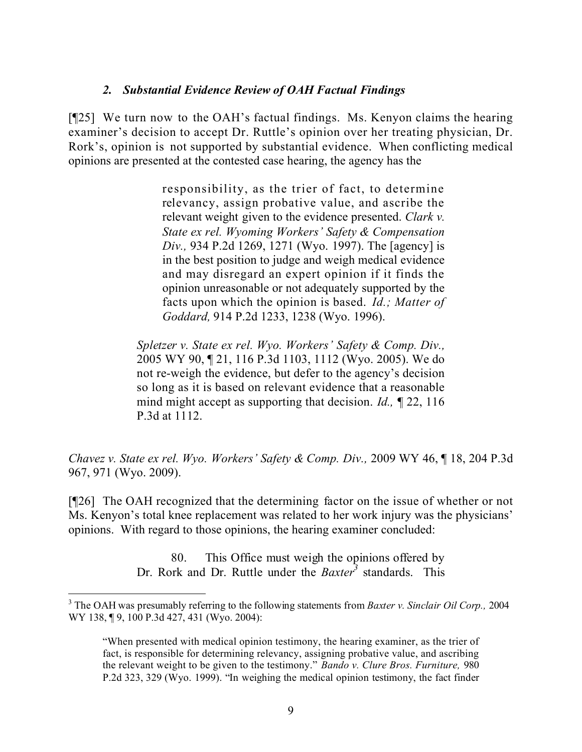## *2. Substantial Evidence Review of OAH Factual Findings*

[¶25] We turn now to the OAH's factual findings. Ms. Kenyon claims the hearing examiner's decision to accept Dr. Ruttle's opinion over her treating physician, Dr. Rork's, opinion is not supported by substantial evidence. When conflicting medical opinions are presented at the contested case hearing, the agency has the

> responsibility, as the trier of fact, to determine relevancy, assign probative value, and ascribe the relevant weight given to the evidence presented. *Clark v. State ex rel. Wyoming Workers' Safety & Compensation Div.,* 934 P.2d 1269, 1271 (Wyo. 1997). The [agency] is in the best position to judge and weigh medical evidence and may disregard an expert opinion if it finds the opinion unreasonable or not adequately supported by the facts upon which the opinion is based. *Id.; Matter of Goddard,* 914 P.2d 1233, 1238 (Wyo. 1996).

*Spletzer v. State ex rel. Wyo. Workers' Safety & Comp. Div.,* 2005 WY 90, ¶ 21, 116 P.3d 1103, 1112 (Wyo. 2005). We do not re-weigh the evidence, but defer to the agency's decision so long as it is based on relevant evidence that a reasonable mind might accept as supporting that decision. *Id.,* ¶ 22, 116 P.3d at 1112.

*Chavez v. State ex rel. Wyo. Workers' Safety & Comp. Div.,* 2009 WY 46, ¶ 18, 204 P.3d 967, 971 (Wyo. 2009).

[¶26] The OAH recognized that the determining factor on the issue of whether or not Ms. Kenyon's total knee replacement was related to her work injury was the physicians' opinions. With regard to those opinions, the hearing examiner concluded:

> 80. This Office must weigh the opinions offered by Dr. Rork and Dr. Ruttle under the *Baxter<sup>3</sup>* standards. This

 $\overline{a}$ <sup>3</sup> The OAH was presumably referring to the following statements from *Baxter v. Sinclair Oil Corp.,* 2004 WY 138, ¶ 9, 100 P.3d 427, 431 (Wyo. 2004):

<sup>&</sup>quot;When presented with medical opinion testimony, the hearing examiner, as the trier of fact, is responsible for determining relevancy, assigning probative value, and ascribing the relevant weight to be given to the testimony." *Bando v. Clure Bros. Furniture,* 980 P.2d 323, 329 (Wyo. 1999). "In weighing the medical opinion testimony, the fact finder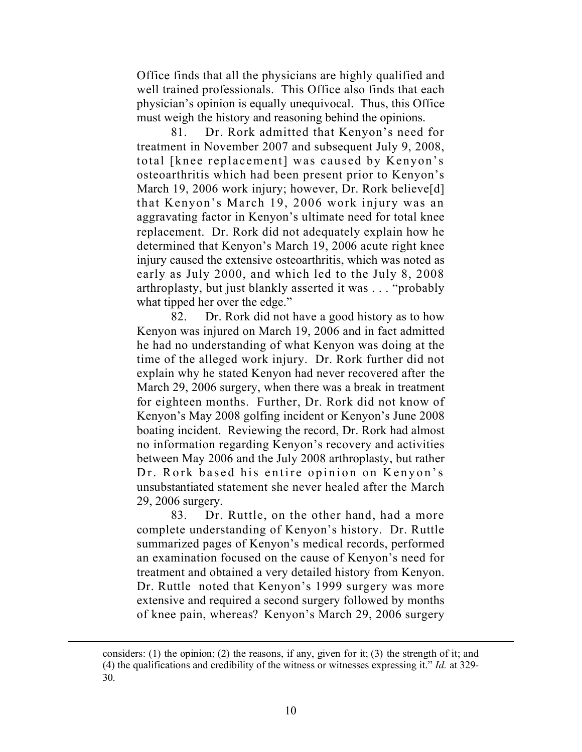Office finds that all the physicians are highly qualified and well trained professionals. This Office also finds that each physician's opinion is equally unequivocal. Thus, this Office must weigh the history and reasoning behind the opinions.

81. Dr. Rork admitted that Kenyon's need for treatment in November 2007 and subsequent July 9, 2008, total [knee replacement] was caused by Kenyon's osteoarthritis which had been present prior to Kenyon's March 19, 2006 work injury; however, Dr. Rork believe[d] that Kenyon's March 19, 2006 work injury was an aggravating factor in Kenyon's ultimate need for total knee replacement. Dr. Rork did not adequately explain how he determined that Kenyon's March 19, 2006 acute right knee injury caused the extensive osteoarthritis, which was noted as early as July 2000, and which led to the July 8, 2008 arthroplasty, but just blankly asserted it was . . . "probably what tipped her over the edge."

82. Dr. Rork did not have a good history as to how Kenyon was injured on March 19, 2006 and in fact admitted he had no understanding of what Kenyon was doing at the time of the alleged work injury. Dr. Rork further did not explain why he stated Kenyon had never recovered after the March 29, 2006 surgery, when there was a break in treatment for eighteen months. Further, Dr. Rork did not know of Kenyon's May 2008 golfing incident or Kenyon's June 2008 boating incident. Reviewing the record, Dr. Rork had almost no information regarding Kenyon's recovery and activities between May 2006 and the July 2008 arthroplasty, but rather Dr. Rork based his entire opinion on Kenyon's unsubstantiated statement she never healed after the March 29, 2006 surgery.

83. Dr. Ruttle, on the other hand, had a more complete understanding of Kenyon's history. Dr. Ruttle summarized pages of Kenyon's medical records, performed an examination focused on the cause of Kenyon's need for treatment and obtained a very detailed history from Kenyon. Dr. Ruttle noted that Kenyon's 1999 surgery was more extensive and required a second surgery followed by months of knee pain, whereas? Kenyon's March 29, 2006 surgery

considers: (1) the opinion; (2) the reasons, if any, given for it; (3) the strength of it; and (4) the qualifications and credibility of the witness or witnesses expressing it." *Id.* at 329- 30.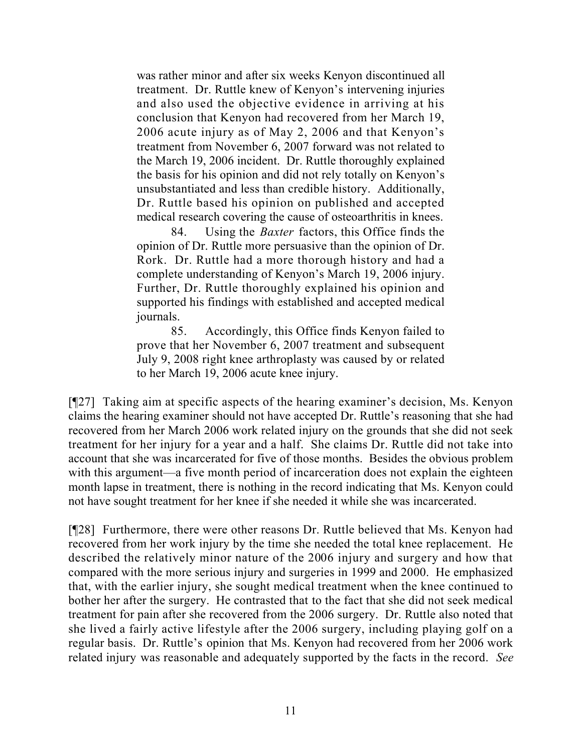was rather minor and after six weeks Kenyon discontinued all treatment. Dr. Ruttle knew of Kenyon's intervening injuries and also used the objective evidence in arriving at his conclusion that Kenyon had recovered from her March 19, 2006 acute injury as of May 2, 2006 and that Kenyon's treatment from November 6, 2007 forward was not related to the March 19, 2006 incident. Dr. Ruttle thoroughly explained the basis for his opinion and did not rely totally on Kenyon's unsubstantiated and less than credible history. Additionally, Dr. Ruttle based his opinion on published and accepted medical research covering the cause of osteoarthritis in knees.

84. Using the *Baxter* factors, this Office finds the opinion of Dr. Ruttle more persuasive than the opinion of Dr. Rork. Dr. Ruttle had a more thorough history and had a complete understanding of Kenyon's March 19, 2006 injury. Further, Dr. Ruttle thoroughly explained his opinion and supported his findings with established and accepted medical journals.

85. Accordingly, this Office finds Kenyon failed to prove that her November 6, 2007 treatment and subsequent July 9, 2008 right knee arthroplasty was caused by or related to her March 19, 2006 acute knee injury.

[¶27] Taking aim at specific aspects of the hearing examiner's decision, Ms. Kenyon claims the hearing examiner should not have accepted Dr. Ruttle's reasoning that she had recovered from her March 2006 work related injury on the grounds that she did not seek treatment for her injury for a year and a half. She claims Dr. Ruttle did not take into account that she was incarcerated for five of those months. Besides the obvious problem with this argument—a five month period of incarceration does not explain the eighteen month lapse in treatment, there is nothing in the record indicating that Ms. Kenyon could not have sought treatment for her knee if she needed it while she was incarcerated.

[¶28] Furthermore, there were other reasons Dr. Ruttle believed that Ms. Kenyon had recovered from her work injury by the time she needed the total knee replacement. He described the relatively minor nature of the 2006 injury and surgery and how that compared with the more serious injury and surgeries in 1999 and 2000. He emphasized that, with the earlier injury, she sought medical treatment when the knee continued to bother her after the surgery. He contrasted that to the fact that she did not seek medical treatment for pain after she recovered from the 2006 surgery. Dr. Ruttle also noted that she lived a fairly active lifestyle after the 2006 surgery, including playing golf on a regular basis. Dr. Ruttle's opinion that Ms. Kenyon had recovered from her 2006 work related injury was reasonable and adequately supported by the facts in the record. *See*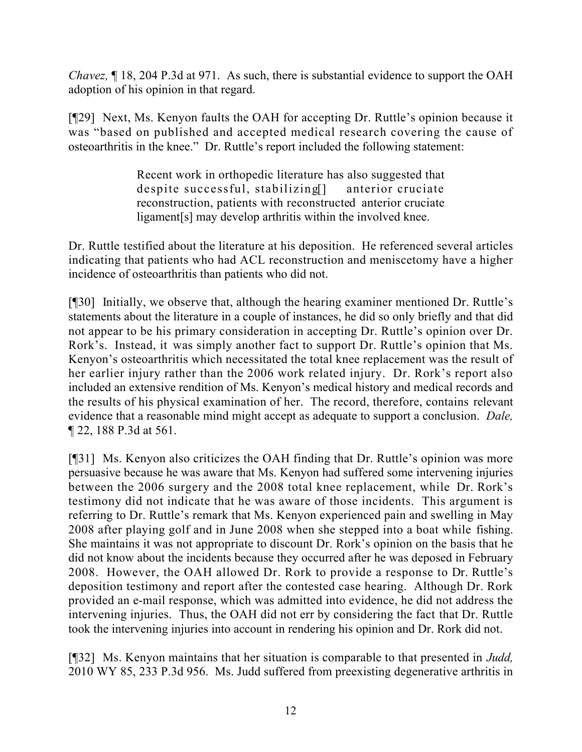*Chavez,* ¶ 18, 204 P.3d at 971. As such, there is substantial evidence to support the OAH adoption of his opinion in that regard.

[¶29] Next, Ms. Kenyon faults the OAH for accepting Dr. Ruttle's opinion because it was "based on published and accepted medical research covering the cause of osteoarthritis in the knee." Dr. Ruttle's report included the following statement:

> Recent work in orthopedic literature has also suggested that despite successful, stabilizing[] anterior cruciate reconstruction, patients with reconstructed anterior cruciate ligament[s] may develop arthritis within the involved knee.

Dr. Ruttle testified about the literature at his deposition. He referenced several articles indicating that patients who had ACL reconstruction and meniscetomy have a higher incidence of osteoarthritis than patients who did not.

[¶30] Initially, we observe that, although the hearing examiner mentioned Dr. Ruttle's statements about the literature in a couple of instances, he did so only briefly and that did not appear to be his primary consideration in accepting Dr. Ruttle's opinion over Dr. Rork's. Instead, it was simply another fact to support Dr. Ruttle's opinion that Ms. Kenyon's osteoarthritis which necessitated the total knee replacement was the result of her earlier injury rather than the 2006 work related injury. Dr. Rork's report also included an extensive rendition of Ms. Kenyon's medical history and medical records and the results of his physical examination of her. The record, therefore, contains relevant evidence that a reasonable mind might accept as adequate to support a conclusion. *Dale,*  ¶ 22, 188 P.3d at 561.

[¶31] Ms. Kenyon also criticizes the OAH finding that Dr. Ruttle's opinion was more persuasive because he was aware that Ms. Kenyon had suffered some intervening injuries between the 2006 surgery and the 2008 total knee replacement, while Dr. Rork's testimony did not indicate that he was aware of those incidents. This argument is referring to Dr. Ruttle's remark that Ms. Kenyon experienced pain and swelling in May 2008 after playing golf and in June 2008 when she stepped into a boat while fishing. She maintains it was not appropriate to discount Dr. Rork's opinion on the basis that he did not know about the incidents because they occurred after he was deposed in February 2008. However, the OAH allowed Dr. Rork to provide a response to Dr. Ruttle's deposition testimony and report after the contested case hearing. Although Dr. Rork provided an e-mail response, which was admitted into evidence, he did not address the intervening injuries. Thus, the OAH did not err by considering the fact that Dr. Ruttle took the intervening injuries into account in rendering his opinion and Dr. Rork did not.

[¶32] Ms. Kenyon maintains that her situation is comparable to that presented in *Judd,*  2010 WY 85, 233 P.3d 956. Ms. Judd suffered from preexisting degenerative arthritis in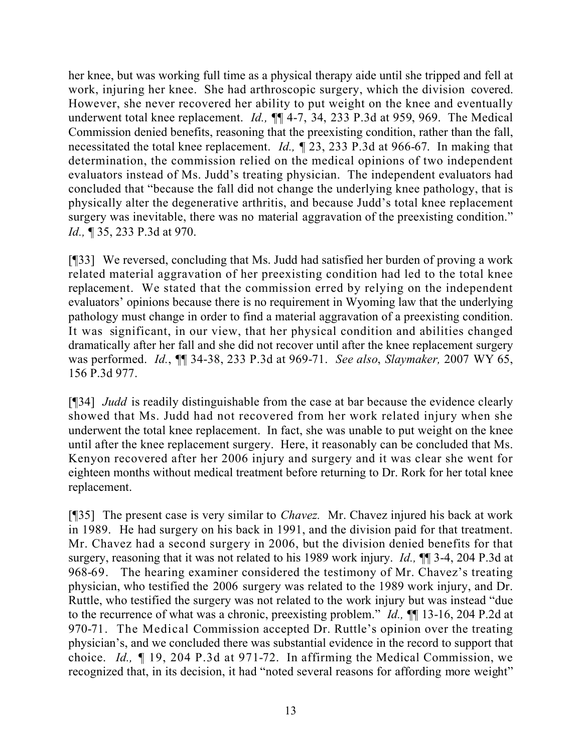her knee, but was working full time as a physical therapy aide until she tripped and fell at work, injuring her knee. She had arthroscopic surgery, which the division covered. However, she never recovered her ability to put weight on the knee and eventually underwent total knee replacement. *Id.*, **¶** 4-7, 34, 233 P.3d at 959, 969. The Medical Commission denied benefits, reasoning that the preexisting condition, rather than the fall, necessitated the total knee replacement. *Id.,* ¶ 23, 233 P.3d at 966-67. In making that determination, the commission relied on the medical opinions of two independent evaluators instead of Ms. Judd's treating physician. The independent evaluators had concluded that "because the fall did not change the underlying knee pathology, that is physically alter the degenerative arthritis, and because Judd's total knee replacement surgery was inevitable, there was no material aggravation of the preexisting condition." *Id.*, **[** 35, 233 P.3d at 970.

[¶33] We reversed, concluding that Ms. Judd had satisfied her burden of proving a work related material aggravation of her preexisting condition had led to the total knee replacement. We stated that the commission erred by relying on the independent evaluators' opinions because there is no requirement in Wyoming law that the underlying pathology must change in order to find a material aggravation of a preexisting condition. It was significant, in our view, that her physical condition and abilities changed dramatically after her fall and she did not recover until after the knee replacement surgery was performed. *Id.*, ¶¶ 34-38, 233 P.3d at 969-71. *See also*, *Slaymaker,* 2007 WY 65, 156 P.3d 977.

[¶34] *Judd* is readily distinguishable from the case at bar because the evidence clearly showed that Ms. Judd had not recovered from her work related injury when she underwent the total knee replacement. In fact, she was unable to put weight on the knee until after the knee replacement surgery. Here, it reasonably can be concluded that Ms. Kenyon recovered after her 2006 injury and surgery and it was clear she went for eighteen months without medical treatment before returning to Dr. Rork for her total knee replacement.

[¶35] The present case is very similar to *Chavez.* Mr. Chavez injured his back at work in 1989. He had surgery on his back in 1991, and the division paid for that treatment. Mr. Chavez had a second surgery in 2006, but the division denied benefits for that surgery, reasoning that it was not related to his 1989 work injury. *Id.,* ¶¶ 3-4, 204 P.3d at 968-69. The hearing examiner considered the testimony of Mr. Chavez's treating physician, who testified the 2006 surgery was related to the 1989 work injury, and Dr. Ruttle, who testified the surgery was not related to the work injury but was instead "due to the recurrence of what was a chronic, preexisting problem." *Id.,* ¶¶ 13-16, 204 P.2d at 970-71. The Medical Commission accepted Dr. Ruttle's opinion over the treating physician's, and we concluded there was substantial evidence in the record to support that choice. *Id.,* ¶ 19, 204 P.3d at 971-72. In affirming the Medical Commission, we recognized that, in its decision, it had "noted several reasons for affording more weight"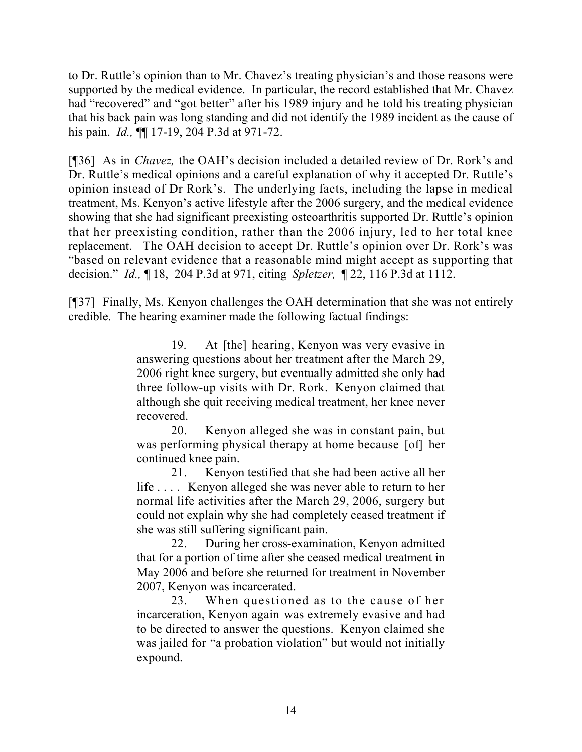to Dr. Ruttle's opinion than to Mr. Chavez's treating physician's and those reasons were supported by the medical evidence. In particular, the record established that Mr. Chavez had "recovered" and "got better" after his 1989 injury and he told his treating physician that his back pain was long standing and did not identify the 1989 incident as the cause of his pain. *Id.,* ¶¶ 17-19, 204 P.3d at 971-72.

[¶36] As in *Chavez,* the OAH's decision included a detailed review of Dr. Rork's and Dr. Ruttle's medical opinions and a careful explanation of why it accepted Dr. Ruttle's opinion instead of Dr Rork's. The underlying facts, including the lapse in medical treatment, Ms. Kenyon's active lifestyle after the 2006 surgery, and the medical evidence showing that she had significant preexisting osteoarthritis supported Dr. Ruttle's opinion that her preexisting condition, rather than the 2006 injury, led to her total knee replacement. The OAH decision to accept Dr. Ruttle's opinion over Dr. Rork's was "based on relevant evidence that a reasonable mind might accept as supporting that decision." *Id.,* ¶ 18, 204 P.3d at 971, citing *Spletzer,* ¶ 22, 116 P.3d at 1112.

[¶37] Finally, Ms. Kenyon challenges the OAH determination that she was not entirely credible. The hearing examiner made the following factual findings:

> 19. At [the] hearing, Kenyon was very evasive in answering questions about her treatment after the March 29, 2006 right knee surgery, but eventually admitted she only had three follow-up visits with Dr. Rork. Kenyon claimed that although she quit receiving medical treatment, her knee never recovered.

> 20. Kenyon alleged she was in constant pain, but was performing physical therapy at home because [of] her continued knee pain.

> 21. Kenyon testified that she had been active all her life . . . . Kenyon alleged she was never able to return to her normal life activities after the March 29, 2006, surgery but could not explain why she had completely ceased treatment if she was still suffering significant pain.

> 22. During her cross-examination, Kenyon admitted that for a portion of time after she ceased medical treatment in May 2006 and before she returned for treatment in November 2007, Kenyon was incarcerated.

> 23. When questioned as to the cause of her incarceration, Kenyon again was extremely evasive and had to be directed to answer the questions. Kenyon claimed she was jailed for "a probation violation" but would not initially expound.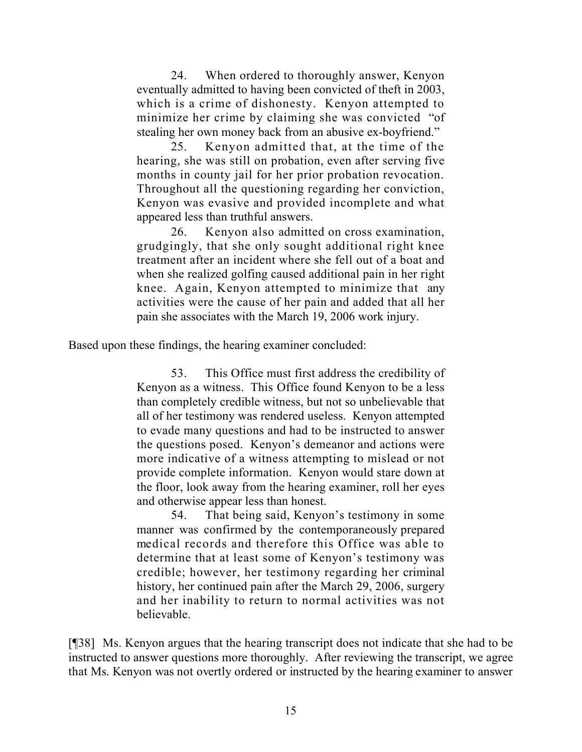24. When ordered to thoroughly answer, Kenyon eventually admitted to having been convicted of theft in 2003, which is a crime of dishonesty. Kenyon attempted to minimize her crime by claiming she was convicted "of stealing her own money back from an abusive ex-boyfriend."

25. Kenyon admitted that, at the time of the hearing, she was still on probation, even after serving five months in county jail for her prior probation revocation. Throughout all the questioning regarding her conviction, Kenyon was evasive and provided incomplete and what appeared less than truthful answers.

26. Kenyon also admitted on cross examination, grudgingly, that she only sought additional right knee treatment after an incident where she fell out of a boat and when she realized golfing caused additional pain in her right knee. Again, Kenyon attempted to minimize that any activities were the cause of her pain and added that all her pain she associates with the March 19, 2006 work injury.

Based upon these findings, the hearing examiner concluded:

53. This Office must first address the credibility of Kenyon as a witness. This Office found Kenyon to be a less than completely credible witness, but not so unbelievable that all of her testimony was rendered useless. Kenyon attempted to evade many questions and had to be instructed to answer the questions posed. Kenyon's demeanor and actions were more indicative of a witness attempting to mislead or not provide complete information. Kenyon would stare down at the floor, look away from the hearing examiner, roll her eyes and otherwise appear less than honest.

54. That being said, Kenyon's testimony in some manner was confirmed by the contemporaneously prepared medical records and therefore this Office was able to determine that at least some of Kenyon's testimony was credible; however, her testimony regarding her criminal history, her continued pain after the March 29, 2006, surgery and her inability to return to normal activities was not believable.

[¶38] Ms. Kenyon argues that the hearing transcript does not indicate that she had to be instructed to answer questions more thoroughly. After reviewing the transcript, we agree that Ms. Kenyon was not overtly ordered or instructed by the hearing examiner to answer